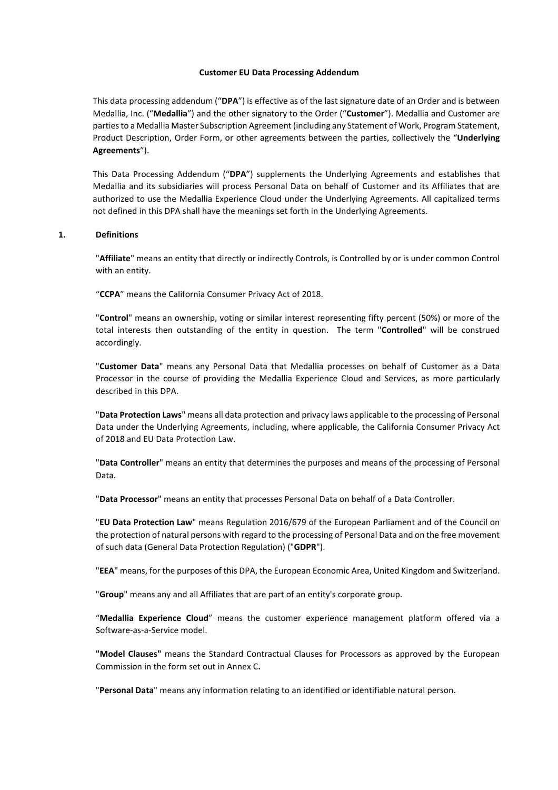#### **Customer EU Data Processing Addendum**

This data processing addendum ("**DPA**") is effective as of the last signature date of an Order and is between Medallia, Inc. ("**Medallia**") and the other signatory to the Order ("**Customer**"). Medallia and Customer are parties to a Medallia Master Subscription Agreement (including any Statement of Work, Program Statement, Product Description, Order Form, or other agreements between the parties, collectively the "**Underlying Agreements**").

This Data Processing Addendum ("**DPA**") supplements the Underlying Agreements and establishes that Medallia and its subsidiaries will process Personal Data on behalf of Customer and its Affiliates that are authorized to use the Medallia Experience Cloud under the Underlying Agreements. All capitalized terms not defined in this DPA shall have the meanings set forth in the Underlying Agreements.

#### **1. Definitions**

"**Affiliate**" means an entity that directly or indirectly Controls, is Controlled by or is under common Control with an entity.

"**CCPA**" means the California Consumer Privacy Act of 2018.

"**Control**" means an ownership, voting or similar interest representing fifty percent (50%) or more of the total interests then outstanding of the entity in question. The term "**Controlled**" will be construed accordingly.

"**Customer Data**" means any Personal Data that Medallia processes on behalf of Customer as a Data Processor in the course of providing the Medallia Experience Cloud and Services, as more particularly described in this DPA.

"**Data Protection Laws**" means all data protection and privacy laws applicable to the processing of Personal Data under the Underlying Agreements, including, where applicable, the California Consumer Privacy Act of 2018 and EU Data Protection Law.

"**Data Controller**" means an entity that determines the purposes and means of the processing of Personal Data.

"**Data Processor**" means an entity that processes Personal Data on behalf of a Data Controller.

"**EU Data Protection Law**" means Regulation 2016/679 of the European Parliament and of the Council on the protection of natural persons with regard to the processing of Personal Data and on the free movement of such data (General Data Protection Regulation) ("**GDPR**").

"**EEA**" means, for the purposes of this DPA, the European Economic Area, United Kingdom and Switzerland.

"**Group**" means any and all Affiliates that are part of an entity's corporate group.

"**Medallia Experience Cloud**" means the customer experience management platform offered via a Software-as-a-Service model.

**"Model Clauses"** means the Standard Contractual Clauses for Processors as approved by the European Commission in the form set out in Annex C**.** 

"**Personal Data**" means any information relating to an identified or identifiable natural person.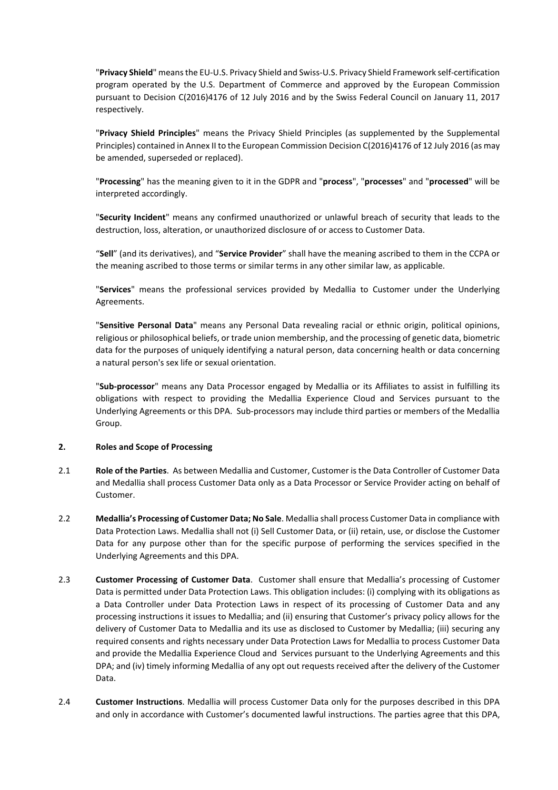"**Privacy Shield**" means the EU-U.S. Privacy Shield and Swiss-U.S. Privacy Shield Framework self-certification program operated by the U.S. Department of Commerce and approved by the European Commission pursuant to Decision C(2016)4176 of 12 July 2016 and by the Swiss Federal Council on January 11, 2017 respectively.

"**Privacy Shield Principles**" means the Privacy Shield Principles (as supplemented by the Supplemental Principles) contained in Annex II to the European Commission Decision C(2016)4176 of 12 July 2016 (as may be amended, superseded or replaced).

"**Processing**" has the meaning given to it in the GDPR and "**process**", "**processes**" and "**processed**" will be interpreted accordingly.

"**Security Incident**" means any confirmed unauthorized or unlawful breach of security that leads to the destruction, loss, alteration, or unauthorized disclosure of or access to Customer Data.

"**Sell**" (and its derivatives), and "**Service Provider**" shall have the meaning ascribed to them in the CCPA or the meaning ascribed to those terms or similar terms in any other similar law, as applicable.

"**Services**" means the professional services provided by Medallia to Customer under the Underlying Agreements.

"**Sensitive Personal Data**" means any Personal Data revealing racial or ethnic origin, political opinions, religious or philosophical beliefs, or trade union membership, and the processing of genetic data, biometric data for the purposes of uniquely identifying a natural person, data concerning health or data concerning a natural person's sex life or sexual orientation.

"**Sub-processor**" means any Data Processor engaged by Medallia or its Affiliates to assist in fulfilling its obligations with respect to providing the Medallia Experience Cloud and Services pursuant to the Underlying Agreements or this DPA. Sub-processors may include third parties or members of the Medallia Group.

## **2. Roles and Scope of Processing**

- 2.1 **Role of the Parties**. As between Medallia and Customer, Customer is the Data Controller of Customer Data and Medallia shall process Customer Data only as a Data Processor or Service Provider acting on behalf of Customer.
- 2.2 **Medallia's Processing of Customer Data; No Sale**. Medallia shall process Customer Data in compliance with Data Protection Laws. Medallia shall not (i) Sell Customer Data, or (ii) retain, use, or disclose the Customer Data for any purpose other than for the specific purpose of performing the services specified in the Underlying Agreements and this DPA.
- 2.3 **Customer Processing of Customer Data**. Customer shall ensure that Medallia's processing of Customer Data is permitted under Data Protection Laws. This obligation includes: (i) complying with its obligations as a Data Controller under Data Protection Laws in respect of its processing of Customer Data and any processing instructions it issues to Medallia; and (ii) ensuring that Customer's privacy policy allows for the delivery of Customer Data to Medallia and its use as disclosed to Customer by Medallia; (iii) securing any required consents and rights necessary under Data Protection Laws for Medallia to process Customer Data and provide the Medallia Experience Cloud and Services pursuant to the Underlying Agreements and this DPA; and (iv) timely informing Medallia of any opt out requests received after the delivery of the Customer Data.
- 2.4 **Customer Instructions**. Medallia will process Customer Data only for the purposes described in this DPA and only in accordance with Customer's documented lawful instructions. The parties agree that this DPA,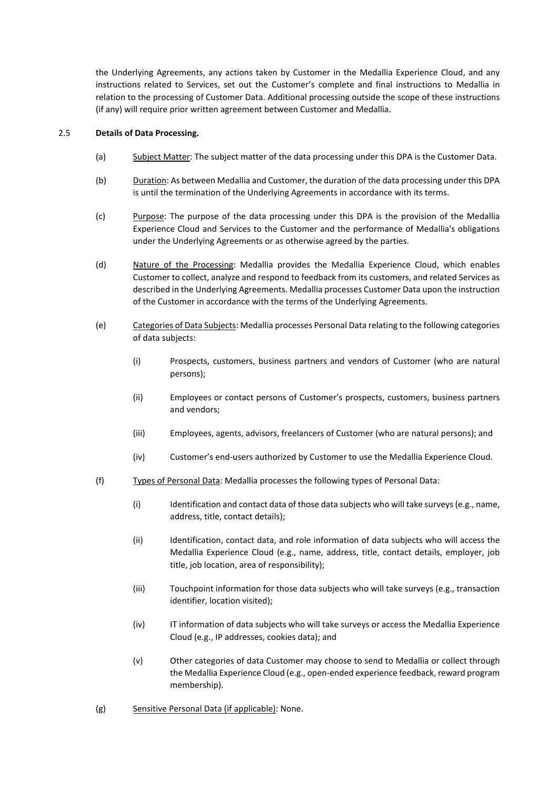the Underlying Agreements, any actions taken by Customer in the Medallia Experience Cloud, and any instructions related to Services, set out the Customer's complete and final instructions to Medallia in relation to the processing of Customer Data. Additional processing outside the scope of these instructions (if any) will require prior written agreement between Customer and Medallia.

# 2.5 **Details of Data Processing.**

- (a) Subject Matter: The subject matter of the data processing under this DPA is the Customer Data.
- (b) Duration: As between Medallia and Customer, the duration of the data processing under this DPA is until the termination of the Underlying Agreements in accordance with its terms.
- (c) Purpose: The purpose of the data processing under this DPA is the provision of the Medallia Experience Cloud and Services to the Customer and the performance of Medallia's obligations under the Underlying Agreements or as otherwise agreed by the parties.
- (d) Nature of the Processing: Medallia provides the Medallia Experience Cloud, which enables Customer to collect, analyze and respond to feedback from its customers, and related Services as described in the Underlying Agreements. Medallia processes Customer Data upon the instruction of the Customer in accordance with the terms of the Underlying Agreements.
- (e) Categories of Data Subjects: Medallia processes Personal Data relating to the following categories of data subjects:
	- (i) Prospects, customers, business partners and vendors of Customer (who are natural persons);
	- (ii) Employees or contact persons of Customer's prospects, customers, business partners and vendors;
	- (iii) Employees, agents, advisors, freelancers of Customer (who are natural persons); and
	- (iv) Customer's end-users authorized by Customer to use the Medallia Experience Cloud.
- (f) Types of Personal Data: Medallia processes the following types of Personal Data:
	- (i) Identification and contact data of those data subjects who will take surveys (e.g., name, address, title, contact details);
	- (ii) Identification, contact data, and role information of data subjects who will access the Medallia Experience Cloud (e.g., name, address, title, contact details, employer, job title, job location, area of responsibility);
	- (iii) Touchpoint information for those data subjects who will take surveys (e.g., transaction identifier, location visited);
	- (iv) IT information of data subjects who will take surveys or access the Medallia Experience Cloud (e.g., IP addresses, cookies data); and
	- (v) Other categories of data Customer may choose to send to Medallia or collect through the Medallia Experience Cloud (e.g., open-ended experience feedback, reward program membership).
- (g) Sensitive Personal Data (if applicable): None.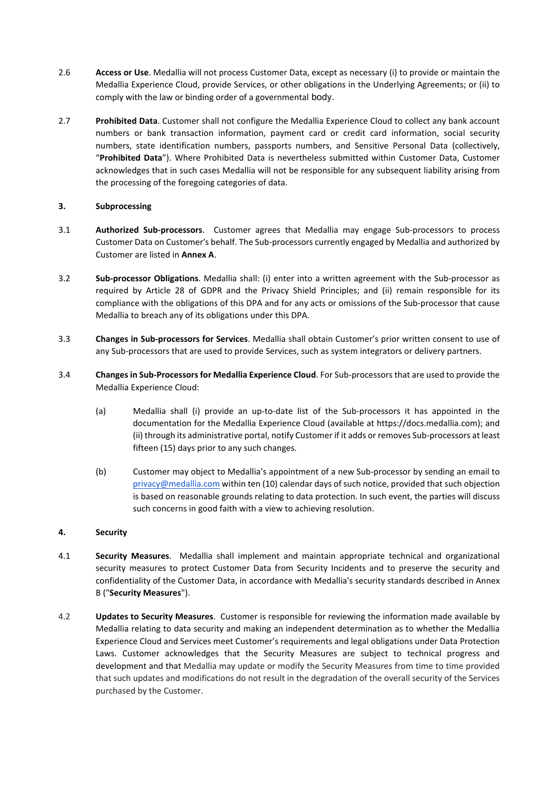- 2.6 **Access or Use**. Medallia will not process Customer Data, except as necessary (i) to provide or maintain the Medallia Experience Cloud, provide Services, or other obligations in the Underlying Agreements; or (ii) to comply with the law or binding order of a governmental body.
- 2.7 **Prohibited Data**. Customer shall not configure the Medallia Experience Cloud to collect any bank account numbers or bank transaction information, payment card or credit card information, social security numbers, state identification numbers, passports numbers, and Sensitive Personal Data (collectively, "**Prohibited Data**"). Where Prohibited Data is nevertheless submitted within Customer Data, Customer acknowledges that in such cases Medallia will not be responsible for any subsequent liability arising from the processing of the foregoing categories of data.

# **3. Subprocessing**

- 3.1 **Authorized Sub-processors**. Customer agrees that Medallia may engage Sub-processors to process Customer Data on Customer's behalf. The Sub-processors currently engaged by Medallia and authorized by Customer are listed in **Annex A**.
- 3.2 **Sub-processor Obligations**. Medallia shall: (i) enter into a written agreement with the Sub-processor as required by Article 28 of GDPR and the Privacy Shield Principles; and (ii) remain responsible for its compliance with the obligations of this DPA and for any acts or omissions of the Sub-processor that cause Medallia to breach any of its obligations under this DPA.
- 3.3 **Changes in Sub-processors for Services**. Medallia shall obtain Customer's prior written consent to use of any Sub-processors that are used to provide Services, such as system integrators or delivery partners.
- 3.4 **Changes in Sub-Processors for Medallia Experience Cloud**. For Sub-processors that are used to provide the Medallia Experience Cloud:
	- (a) Medallia shall (i) provide an up-to-date list of the Sub-processors it has appointed in the documentation for the Medallia Experience Cloud (available at https://docs.medallia.com); and (ii) through its administrative portal, notify Customer if it adds or removes Sub-processors at least fifteen (15) days prior to any such changes.
	- (b) Customer may object to Medallia's appointment of a new Sub-processor by sending an email to privacy@medallia.com within ten (10) calendar days of such notice, provided that such objection is based on reasonable grounds relating to data protection. In such event, the parties will discuss such concerns in good faith with a view to achieving resolution.

# **4. Security**

- 4.1 **Security Measures**. Medallia shall implement and maintain appropriate technical and organizational security measures to protect Customer Data from Security Incidents and to preserve the security and confidentiality of the Customer Data, in accordance with Medallia's security standards described in Annex B ("**Security Measures**").
- 4.2 **Updates to Security Measures**. Customer is responsible for reviewing the information made available by Medallia relating to data security and making an independent determination as to whether the Medallia Experience Cloud and Services meet Customer's requirements and legal obligations under Data Protection Laws. Customer acknowledges that the Security Measures are subject to technical progress and development and that Medallia may update or modify the Security Measures from time to time provided that such updates and modifications do not result in the degradation of the overall security of the Services purchased by the Customer.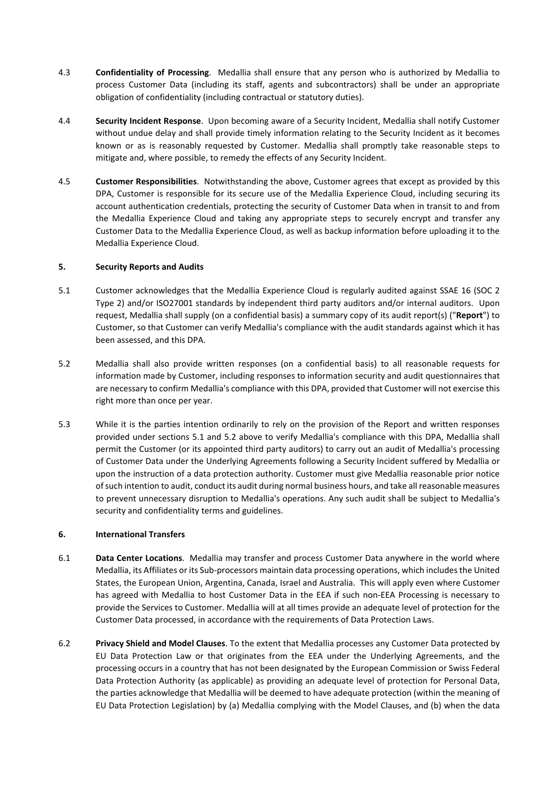- 4.3 **Confidentiality of Processing**. Medallia shall ensure that any person who is authorized by Medallia to process Customer Data (including its staff, agents and subcontractors) shall be under an appropriate obligation of confidentiality (including contractual or statutory duties).
- 4.4 **Security Incident Response**. Upon becoming aware of a Security Incident, Medallia shall notify Customer without undue delay and shall provide timely information relating to the Security Incident as it becomes known or as is reasonably requested by Customer. Medallia shall promptly take reasonable steps to mitigate and, where possible, to remedy the effects of any Security Incident.
- 4.5 **Customer Responsibilities**. Notwithstanding the above, Customer agrees that except as provided by this DPA, Customer is responsible for its secure use of the Medallia Experience Cloud, including securing its account authentication credentials, protecting the security of Customer Data when in transit to and from the Medallia Experience Cloud and taking any appropriate steps to securely encrypt and transfer any Customer Data to the Medallia Experience Cloud, as well as backup information before uploading it to the Medallia Experience Cloud.

## **5. Security Reports and Audits**

- 5.1 Customer acknowledges that the Medallia Experience Cloud is regularly audited against SSAE 16 (SOC 2 Type 2) and/or ISO27001 standards by independent third party auditors and/or internal auditors. Upon request, Medallia shall supply (on a confidential basis) a summary copy of its audit report(s) ("**Report**") to Customer, so that Customer can verify Medallia's compliance with the audit standards against which it has been assessed, and this DPA.
- 5.2 Medallia shall also provide written responses (on a confidential basis) to all reasonable requests for information made by Customer, including responses to information security and audit questionnaires that are necessary to confirm Medallia's compliance with this DPA, provided that Customer will not exercise this right more than once per year.
- 5.3 While it is the parties intention ordinarily to rely on the provision of the Report and written responses provided under sections 5.1 and 5.2 above to verify Medallia's compliance with this DPA, Medallia shall permit the Customer (or its appointed third party auditors) to carry out an audit of Medallia's processing of Customer Data under the Underlying Agreements following a Security Incident suffered by Medallia or upon the instruction of a data protection authority. Customer must give Medallia reasonable prior notice of such intention to audit, conduct its audit during normal business hours, and take all reasonable measures to prevent unnecessary disruption to Medallia's operations. Any such audit shall be subject to Medallia's security and confidentiality terms and guidelines.

### **6. International Transfers**

- 6.1 **Data Center Locations**. Medallia may transfer and process Customer Data anywhere in the world where Medallia, its Affiliates or its Sub-processors maintain data processing operations, which includes the United States, the European Union, Argentina, Canada, Israel and Australia. This will apply even where Customer has agreed with Medallia to host Customer Data in the EEA if such non-EEA Processing is necessary to provide the Services to Customer. Medallia will at all times provide an adequate level of protection for the Customer Data processed, in accordance with the requirements of Data Protection Laws.
- 6.2 **Privacy Shield and Model Clauses**. To the extent that Medallia processes any Customer Data protected by EU Data Protection Law or that originates from the EEA under the Underlying Agreements, and the processing occurs in a country that has not been designated by the European Commission or Swiss Federal Data Protection Authority (as applicable) as providing an adequate level of protection for Personal Data, the parties acknowledge that Medallia will be deemed to have adequate protection (within the meaning of EU Data Protection Legislation) by (a) Medallia complying with the Model Clauses, and (b) when the data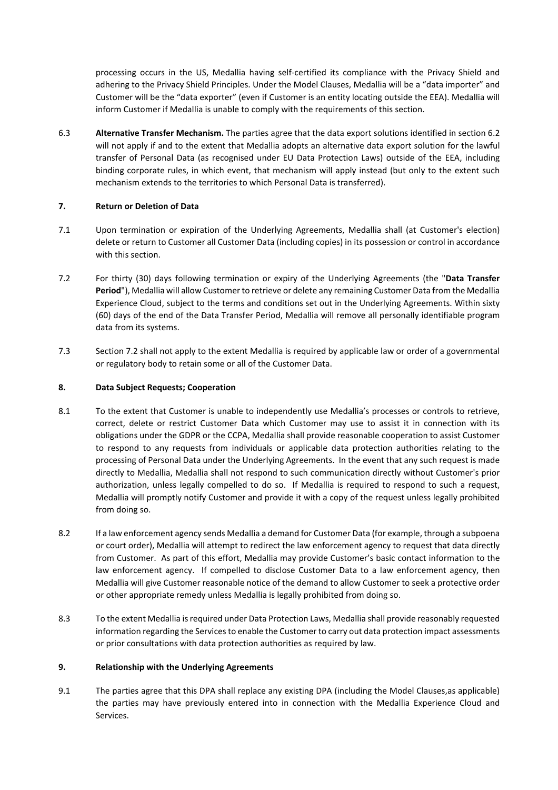processing occurs in the US, Medallia having self-certified its compliance with the Privacy Shield and adhering to the Privacy Shield Principles. Under the Model Clauses, Medallia will be a "data importer" and Customer will be the "data exporter" (even if Customer is an entity locating outside the EEA). Medallia will inform Customer if Medallia is unable to comply with the requirements of this section.

6.3 **Alternative Transfer Mechanism.** The parties agree that the data export solutions identified in section 6.2 will not apply if and to the extent that Medallia adopts an alternative data export solution for the lawful transfer of Personal Data (as recognised under EU Data Protection Laws) outside of the EEA, including binding corporate rules, in which event, that mechanism will apply instead (but only to the extent such mechanism extends to the territories to which Personal Data is transferred).

# **7. Return or Deletion of Data**

- 7.1 Upon termination or expiration of the Underlying Agreements, Medallia shall (at Customer's election) delete or return to Customer all Customer Data (including copies) in its possession or control in accordance with this section.
- 7.2 For thirty (30) days following termination or expiry of the Underlying Agreements (the "**Data Transfer Period**"), Medallia will allow Customer to retrieve or delete any remaining Customer Data from the Medallia Experience Cloud, subject to the terms and conditions set out in the Underlying Agreements. Within sixty (60) days of the end of the Data Transfer Period, Medallia will remove all personally identifiable program data from its systems.
- 7.3 Section 7.2 shall not apply to the extent Medallia is required by applicable law or order of a governmental or regulatory body to retain some or all of the Customer Data.

## **8. Data Subject Requests; Cooperation**

- 8.1 To the extent that Customer is unable to independently use Medallia's processes or controls to retrieve, correct, delete or restrict Customer Data which Customer may use to assist it in connection with its obligations under the GDPR or the CCPA, Medallia shall provide reasonable cooperation to assist Customer to respond to any requests from individuals or applicable data protection authorities relating to the processing of Personal Data under the Underlying Agreements. In the event that any such request is made directly to Medallia, Medallia shall not respond to such communication directly without Customer's prior authorization, unless legally compelled to do so. If Medallia is required to respond to such a request, Medallia will promptly notify Customer and provide it with a copy of the request unless legally prohibited from doing so.
- 8.2 If a law enforcement agency sends Medallia a demand for Customer Data (for example, through a subpoena or court order), Medallia will attempt to redirect the law enforcement agency to request that data directly from Customer. As part of this effort, Medallia may provide Customer's basic contact information to the law enforcement agency. If compelled to disclose Customer Data to a law enforcement agency, then Medallia will give Customer reasonable notice of the demand to allow Customer to seek a protective order or other appropriate remedy unless Medallia is legally prohibited from doing so.
- 8.3 To the extent Medallia is required under Data Protection Laws, Medallia shall provide reasonably requested information regarding the Services to enable the Customer to carry out data protection impact assessments or prior consultations with data protection authorities as required by law.

### **9. Relationship with the Underlying Agreements**

9.1 The parties agree that this DPA shall replace any existing DPA (including the Model Clauses,as applicable) the parties may have previously entered into in connection with the Medallia Experience Cloud and Services.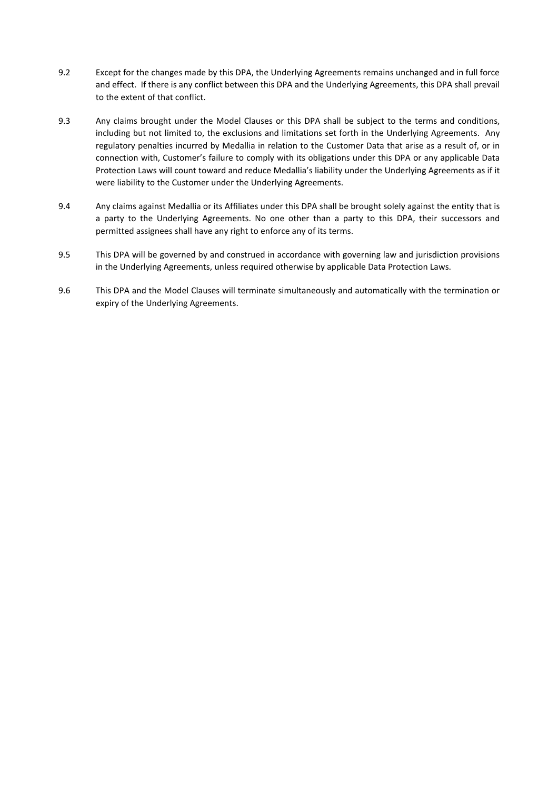- 9.2 Except for the changes made by this DPA, the Underlying Agreements remains unchanged and in full force and effect. If there is any conflict between this DPA and the Underlying Agreements, this DPA shall prevail to the extent of that conflict.
- 9.3 Any claims brought under the Model Clauses or this DPA shall be subject to the terms and conditions, including but not limited to, the exclusions and limitations set forth in the Underlying Agreements. Any regulatory penalties incurred by Medallia in relation to the Customer Data that arise as a result of, or in connection with, Customer's failure to comply with its obligations under this DPA or any applicable Data Protection Laws will count toward and reduce Medallia's liability under the Underlying Agreements as if it were liability to the Customer under the Underlying Agreements.
- 9.4 Any claims against Medallia or its Affiliates under this DPA shall be brought solely against the entity that is a party to the Underlying Agreements. No one other than a party to this DPA, their successors and permitted assignees shall have any right to enforce any of its terms.
- 9.5 This DPA will be governed by and construed in accordance with governing law and jurisdiction provisions in the Underlying Agreements, unless required otherwise by applicable Data Protection Laws.
- 9.6 This DPA and the Model Clauses will terminate simultaneously and automatically with the termination or expiry of the Underlying Agreements.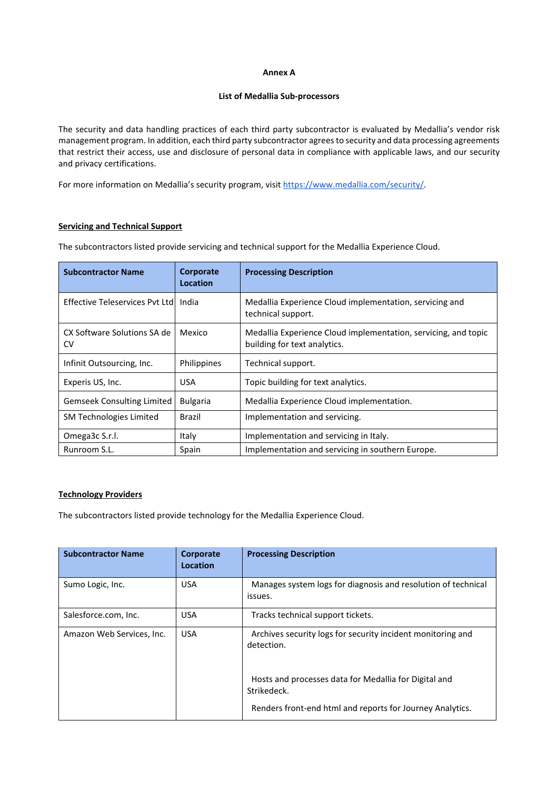#### **Annex A**

### **List of Medallia Sub-processors**

The security and data handling practices of each third party subcontractor is evaluated by Medallia's vendor risk management program. In addition, each third party subcontractor agrees to security and data processing agreements that restrict their access, use and disclosure of personal data in compliance with applicable laws, and our security and privacy certifications.

For more information on Medallia's security program, visit https://www.medallia.com/security/.

### **Servicing and Technical Support**

The subcontractors listed provide servicing and technical support for the Medallia Experience Cloud.

| <b>Subcontractor Name</b>         | Corporate<br>Location | <b>Processing Description</b>                                                                  |
|-----------------------------------|-----------------------|------------------------------------------------------------------------------------------------|
| Effective Teleservices Pyt Ltdl   | India                 | Medallia Experience Cloud implementation, servicing and<br>technical support.                  |
| CX Software Solutions SA de<br>CV | Mexico                | Medallia Experience Cloud implementation, servicing, and topic<br>building for text analytics. |
| Infinit Outsourcing, Inc.         | Philippines           | Technical support.                                                                             |
| Experis US, Inc.                  | <b>USA</b>            | Topic building for text analytics.                                                             |
| Gemseek Consulting Limited        | <b>Bulgaria</b>       | Medallia Experience Cloud implementation.                                                      |
| SM Technologies Limited           | <b>Brazil</b>         | Implementation and servicing.                                                                  |
| Omega3c S.r.l.                    | Italy                 | Implementation and servicing in Italy.                                                         |
| Runroom S.L.                      | Spain                 | Implementation and servicing in southern Europe.                                               |

#### **Technology Providers**

The subcontractors listed provide technology for the Medallia Experience Cloud.

| <b>Subcontractor Name</b>               | Corporate<br>Location                                                     | <b>Processing Description</b>                                            |
|-----------------------------------------|---------------------------------------------------------------------------|--------------------------------------------------------------------------|
| Sumo Logic, Inc.                        | <b>USA</b>                                                                | Manages system logs for diagnosis and resolution of technical<br>issues. |
| Salesforce.com, Inc.                    | <b>USA</b>                                                                | Tracks technical support tickets.                                        |
| <b>USA</b><br>Amazon Web Services, Inc. | Archives security logs for security incident monitoring and<br>detection. |                                                                          |
|                                         |                                                                           | Hosts and processes data for Medallia for Digital and<br>Strikedeck.     |
|                                         |                                                                           | Renders front-end html and reports for Journey Analytics.                |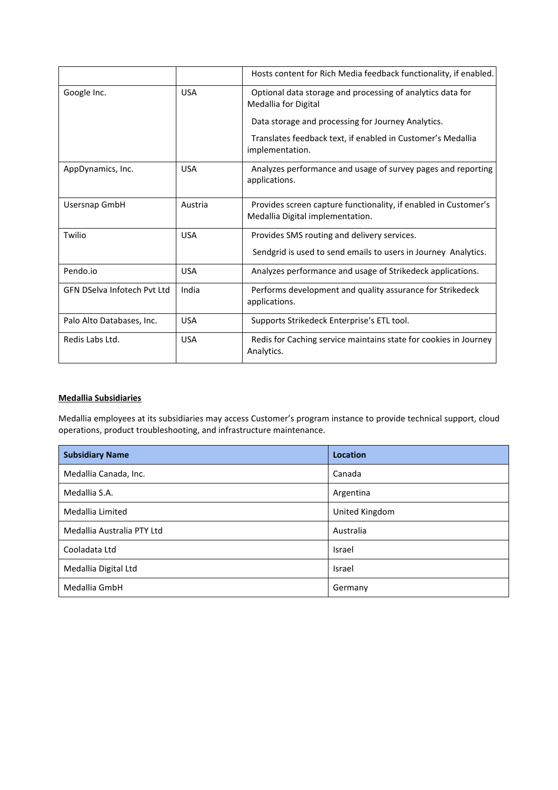|                                    |            | Hosts content for Rich Media feedback functionality, if enabled.                                    |
|------------------------------------|------------|-----------------------------------------------------------------------------------------------------|
| Google Inc.                        | <b>USA</b> | Optional data storage and processing of analytics data for<br>Medallia for Digital                  |
|                                    |            | Data storage and processing for Journey Analytics.                                                  |
|                                    |            | Translates feedback text, if enabled in Customer's Medallia<br>implementation.                      |
| AppDynamics, Inc.                  | <b>USA</b> | Analyzes performance and usage of survey pages and reporting<br>applications.                       |
| Usersnap GmbH                      | Austria    | Provides screen capture functionality, if enabled in Customer's<br>Medallia Digital implementation. |
| Twilio                             | <b>USA</b> | Provides SMS routing and delivery services.                                                         |
|                                    |            | Sendgrid is used to send emails to users in Journey Analytics.                                      |
| Pendo.io                           | <b>USA</b> | Analyzes performance and usage of Strikedeck applications.                                          |
| <b>GFN DSelva Infotech Pvt Ltd</b> | India      | Performs development and quality assurance for Strikedeck<br>applications.                          |
| Palo Alto Databases, Inc.          | <b>USA</b> | Supports Strikedeck Enterprise's ETL tool.                                                          |
| Redis Labs Ltd.                    | <b>USA</b> | Redis for Caching service maintains state for cookies in Journey<br>Analytics.                      |

# **Medallia Subsidiaries**

Medallia employees at its subsidiaries may access Customer's program instance to provide technical support, cloud operations, product troubleshooting, and infrastructure maintenance.

| <b>Subsidiary Name</b>     | <b>Location</b> |
|----------------------------|-----------------|
| Medallia Canada, Inc.      | Canada          |
| Medallia S.A.              | Argentina       |
| Medallia Limited           | United Kingdom  |
| Medallia Australia PTY Ltd | Australia       |
| Cooladata Ltd              | Israel          |
| Medallia Digital Ltd       | Israel          |
| Medallia GmbH              | Germany         |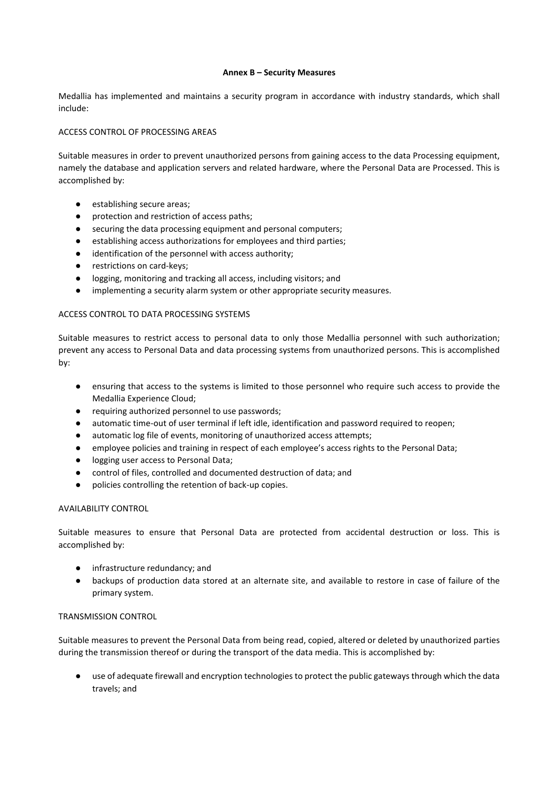#### **Annex B – Security Measures**

Medallia has implemented and maintains a security program in accordance with industry standards, which shall include:

### ACCESS CONTROL OF PROCESSING AREAS

Suitable measures in order to prevent unauthorized persons from gaining access to the data Processing equipment, namely the database and application servers and related hardware, where the Personal Data are Processed. This is accomplished by:

- establishing secure areas;
- protection and restriction of access paths;
- securing the data processing equipment and personal computers;
- establishing access authorizations for employees and third parties;
- identification of the personnel with access authority;
- restrictions on card-keys:
- logging, monitoring and tracking all access, including visitors; and
- implementing a security alarm system or other appropriate security measures.

### ACCESS CONTROL TO DATA PROCESSING SYSTEMS

Suitable measures to restrict access to personal data to only those Medallia personnel with such authorization; prevent any access to Personal Data and data processing systems from unauthorized persons. This is accomplished by:

- ensuring that access to the systems is limited to those personnel who require such access to provide the Medallia Experience Cloud;
- requiring authorized personnel to use passwords:
- automatic time-out of user terminal if left idle, identification and password required to reopen;
- automatic log file of events, monitoring of unauthorized access attempts;
- employee policies and training in respect of each employee's access rights to the Personal Data;
- logging user access to Personal Data;
- control of files, controlled and documented destruction of data; and
- policies controlling the retention of back-up copies.

### AVAILABILITY CONTROL

Suitable measures to ensure that Personal Data are protected from accidental destruction or loss. This is accomplished by:

- infrastructure redundancy; and
- backups of production data stored at an alternate site, and available to restore in case of failure of the primary system.

### TRANSMISSION CONTROL

Suitable measures to prevent the Personal Data from being read, copied, altered or deleted by unauthorized parties during the transmission thereof or during the transport of the data media. This is accomplished by:

● use of adequate firewall and encryption technologies to protect the public gateways through which the data travels; and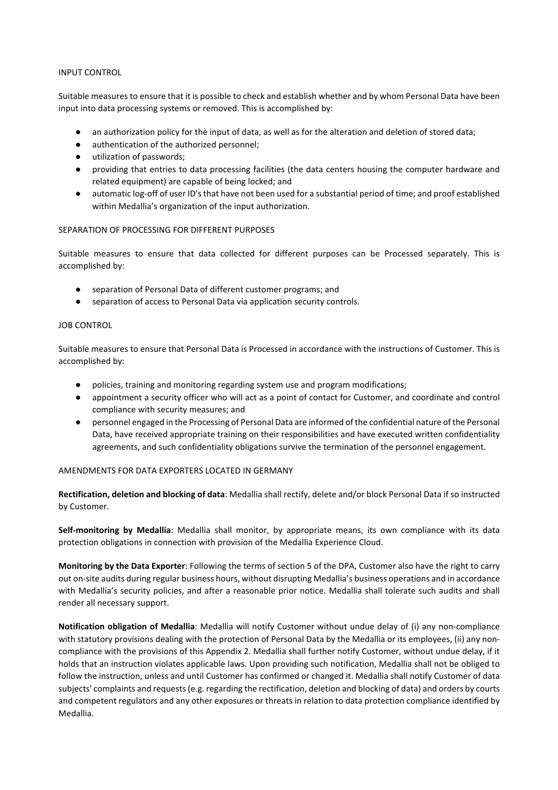#### INPUT CONTROL

Suitable measures to ensure that it is possible to check and establish whether and by whom Personal Data have been input into data processing systems or removed. This is accomplished by:

- an authorization policy for the input of data, as well as for the alteration and deletion of stored data;
- authentication of the authorized personnel;
- utilization of passwords;
- providing that entries to data processing facilities (the data centers housing the computer hardware and related equipment) are capable of being locked; and
- automatic log-off of user ID's that have not been used for a substantial period of time; and proof established within Medallia's organization of the input authorization.

#### SEPARATION OF PROCESSING FOR DIFFERENT PURPOSES

Suitable measures to ensure that data collected for different purposes can be Processed separately. This is accomplished by:

- separation of Personal Data of different customer programs; and
- separation of access to Personal Data via application security controls.

## JOB CONTROL

Suitable measures to ensure that Personal Data is Processed in accordance with the instructions of Customer. This is accomplished by:

- policies, training and monitoring regarding system use and program modifications;
- appointment a security officer who will act as a point of contact for Customer, and coordinate and control compliance with security measures; and
- personnel engaged in the Processing of Personal Data are informed of the confidential nature of the Personal Data, have received appropriate training on their responsibilities and have executed written confidentiality agreements, and such confidentiality obligations survive the termination of the personnel engagement.

### AMENDMENTS FOR DATA EXPORTERS LOCATED IN GERMANY

**Rectification, deletion and blocking of data**: Medallia shall rectify, delete and/or block Personal Data if so instructed by Customer.

**Self-monitoring by Medallia**: Medallia shall monitor, by appropriate means, its own compliance with its data protection obligations in connection with provision of the Medallia Experience Cloud.

**Monitoring by the Data Exporter**: Following the terms of section 5 of the DPA, Customer also have the right to carry out on-site audits during regular business hours, without disrupting Medallia's business operations and in accordance with Medallia's security policies, and after a reasonable prior notice. Medallia shall tolerate such audits and shall render all necessary support.

**Notification obligation of Medallia**: Medallia will notify Customer without undue delay of (i) any non-compliance with statutory provisions dealing with the protection of Personal Data by the Medallia or its employees, (ii) any noncompliance with the provisions of this Appendix 2. Medallia shall further notify Customer, without undue delay, if it holds that an instruction violates applicable laws. Upon providing such notification, Medallia shall not be obliged to follow the instruction, unless and until Customer has confirmed or changed it. Medallia shall notify Customer of data subjects' complaints and requests (e.g. regarding the rectification, deletion and blocking of data) and orders by courts and competent regulators and any other exposures or threats in relation to data protection compliance identified by Medallia.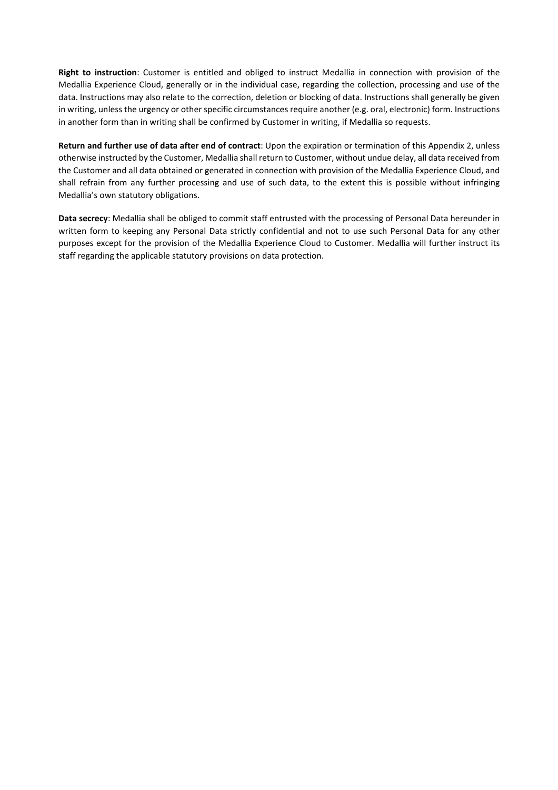**Right to instruction**: Customer is entitled and obliged to instruct Medallia in connection with provision of the Medallia Experience Cloud, generally or in the individual case, regarding the collection, processing and use of the data. Instructions may also relate to the correction, deletion or blocking of data. Instructions shall generally be given in writing, unless the urgency or other specific circumstances require another (e.g. oral, electronic) form. Instructions in another form than in writing shall be confirmed by Customer in writing, if Medallia so requests.

**Return and further use of data after end of contract**: Upon the expiration or termination of this Appendix 2, unless otherwise instructed by the Customer, Medallia shall return to Customer, without undue delay, all data received from the Customer and all data obtained or generated in connection with provision of the Medallia Experience Cloud, and shall refrain from any further processing and use of such data, to the extent this is possible without infringing Medallia's own statutory obligations.

**Data secrecy**: Medallia shall be obliged to commit staff entrusted with the processing of Personal Data hereunder in written form to keeping any Personal Data strictly confidential and not to use such Personal Data for any other purposes except for the provision of the Medallia Experience Cloud to Customer. Medallia will further instruct its staff regarding the applicable statutory provisions on data protection.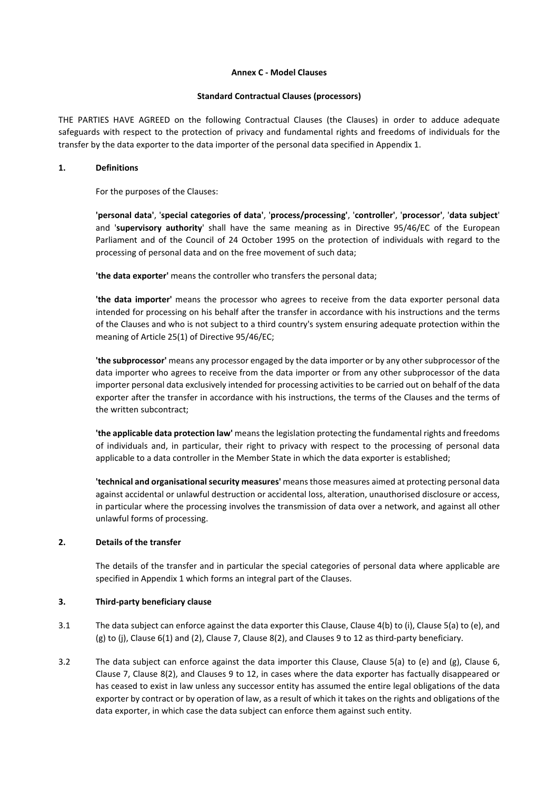#### **Annex C - Model Clauses**

#### **Standard Contractual Clauses (processors)**

THE PARTIES HAVE AGREED on the following Contractual Clauses (the Clauses) in order to adduce adequate safeguards with respect to the protection of privacy and fundamental rights and freedoms of individuals for the transfer by the data exporter to the data importer of the personal data specified in Appendix 1.

#### **1. Definitions**

For the purposes of the Clauses:

**'personal data'**, '**special categories of data'**, '**process/processing'**, '**controller'**, '**processor'**, '**data subject**' and '**supervisory authority**' shall have the same meaning as in Directive 95/46/EC of the European Parliament and of the Council of 24 October 1995 on the protection of individuals with regard to the processing of personal data and on the free movement of such data;

**'the data exporter'** means the controller who transfers the personal data;

**'the data importer'** means the processor who agrees to receive from the data exporter personal data intended for processing on his behalf after the transfer in accordance with his instructions and the terms of the Clauses and who is not subject to a third country's system ensuring adequate protection within the meaning of Article 25(1) of Directive 95/46/EC;

**'the subprocessor'** means any processor engaged by the data importer or by any other subprocessor of the data importer who agrees to receive from the data importer or from any other subprocessor of the data importer personal data exclusively intended for processing activities to be carried out on behalf of the data exporter after the transfer in accordance with his instructions, the terms of the Clauses and the terms of the written subcontract;

**'the applicable data protection law'** means the legislation protecting the fundamental rights and freedoms of individuals and, in particular, their right to privacy with respect to the processing of personal data applicable to a data controller in the Member State in which the data exporter is established;

**'technical and organisational security measures'** means those measures aimed at protecting personal data against accidental or unlawful destruction or accidental loss, alteration, unauthorised disclosure or access, in particular where the processing involves the transmission of data over a network, and against all other unlawful forms of processing.

### **2. Details of the transfer**

The details of the transfer and in particular the special categories of personal data where applicable are specified in Appendix 1 which forms an integral part of the Clauses.

### **3. Third-party beneficiary clause**

- 3.1 The data subject can enforce against the data exporter this Clause, Clause 4(b) to (i), Clause 5(a) to (e), and (g) to (j), Clause 6(1) and (2), Clause 7, Clause 8(2), and Clauses 9 to 12 as third-party beneficiary.
- 3.2 The data subject can enforce against the data importer this Clause, Clause 5(a) to (e) and (g), Clause 6, Clause 7, Clause 8(2), and Clauses 9 to 12, in cases where the data exporter has factually disappeared or has ceased to exist in law unless any successor entity has assumed the entire legal obligations of the data exporter by contract or by operation of law, as a result of which it takes on the rights and obligations of the data exporter, in which case the data subject can enforce them against such entity.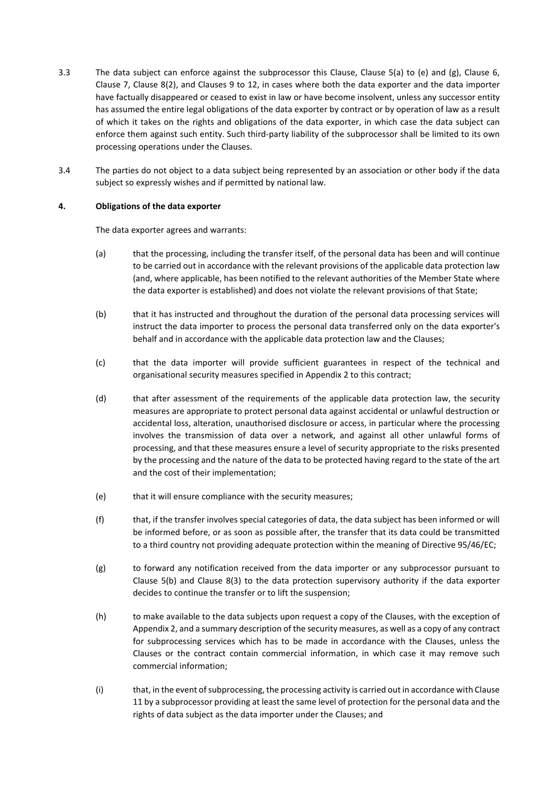- 3.3 The data subject can enforce against the subprocessor this Clause, Clause 5(a) to (e) and (g), Clause 6, Clause 7, Clause 8(2), and Clauses 9 to 12, in cases where both the data exporter and the data importer have factually disappeared or ceased to exist in law or have become insolvent, unless any successor entity has assumed the entire legal obligations of the data exporter by contract or by operation of law as a result of which it takes on the rights and obligations of the data exporter, in which case the data subject can enforce them against such entity. Such third-party liability of the subprocessor shall be limited to its own processing operations under the Clauses.
- 3.4 The parties do not object to a data subject being represented by an association or other body if the data subject so expressly wishes and if permitted by national law.

## **4. Obligations of the data exporter**

The data exporter agrees and warrants:

- (a) that the processing, including the transfer itself, of the personal data has been and will continue to be carried out in accordance with the relevant provisions of the applicable data protection law (and, where applicable, has been notified to the relevant authorities of the Member State where the data exporter is established) and does not violate the relevant provisions of that State;
- (b) that it has instructed and throughout the duration of the personal data processing services will instruct the data importer to process the personal data transferred only on the data exporter's behalf and in accordance with the applicable data protection law and the Clauses;
- (c) that the data importer will provide sufficient guarantees in respect of the technical and organisational security measures specified in Appendix 2 to this contract;
- (d) that after assessment of the requirements of the applicable data protection law, the security measures are appropriate to protect personal data against accidental or unlawful destruction or accidental loss, alteration, unauthorised disclosure or access, in particular where the processing involves the transmission of data over a network, and against all other unlawful forms of processing, and that these measures ensure a level of security appropriate to the risks presented by the processing and the nature of the data to be protected having regard to the state of the art and the cost of their implementation;
- (e) that it will ensure compliance with the security measures;
- (f) that, if the transfer involves special categories of data, the data subject has been informed or will be informed before, or as soon as possible after, the transfer that its data could be transmitted to a third country not providing adequate protection within the meaning of Directive 95/46/EC;
- (g) to forward any notification received from the data importer or any subprocessor pursuant to Clause 5(b) and Clause 8(3) to the data protection supervisory authority if the data exporter decides to continue the transfer or to lift the suspension;
- (h) to make available to the data subjects upon request a copy of the Clauses, with the exception of Appendix 2, and a summary description of the security measures, as well as a copy of any contract for subprocessing services which has to be made in accordance with the Clauses, unless the Clauses or the contract contain commercial information, in which case it may remove such commercial information;
- (i) that, in the event of subprocessing, the processing activity is carried out in accordance with Clause 11 by a subprocessor providing at least the same level of protection for the personal data and the rights of data subject as the data importer under the Clauses; and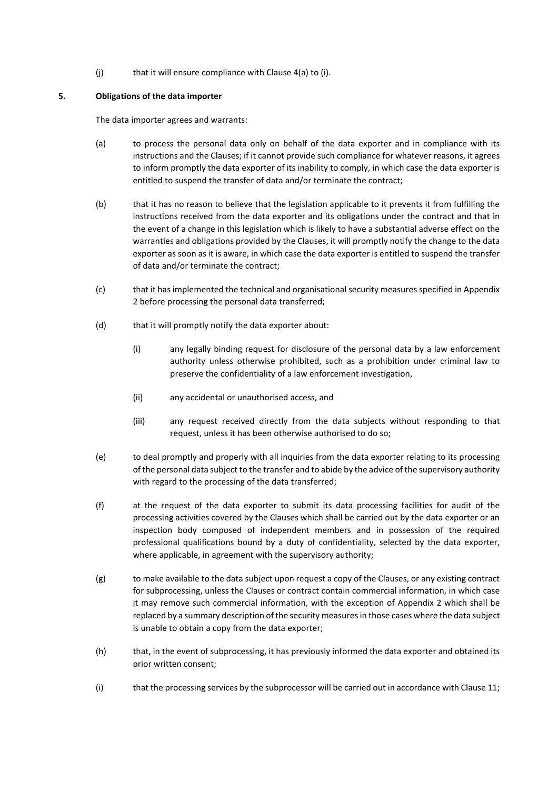(i) that it will ensure compliance with Clause  $4(a)$  to (i).

# **5. Obligations of the data importer**

The data importer agrees and warrants:

- (a) to process the personal data only on behalf of the data exporter and in compliance with its instructions and the Clauses; if it cannot provide such compliance for whatever reasons, it agrees to inform promptly the data exporter of its inability to comply, in which case the data exporter is entitled to suspend the transfer of data and/or terminate the contract;
- (b) that it has no reason to believe that the legislation applicable to it prevents it from fulfilling the instructions received from the data exporter and its obligations under the contract and that in the event of a change in this legislation which is likely to have a substantial adverse effect on the warranties and obligations provided by the Clauses, it will promptly notify the change to the data exporter as soon as it is aware, in which case the data exporter is entitled to suspend the transfer of data and/or terminate the contract;
- (c) that it has implemented the technical and organisational security measures specified in Appendix 2 before processing the personal data transferred;
- (d) that it will promptly notify the data exporter about:
	- (i) any legally binding request for disclosure of the personal data by a law enforcement authority unless otherwise prohibited, such as a prohibition under criminal law to preserve the confidentiality of a law enforcement investigation,
	- (ii) any accidental or unauthorised access, and
	- (iii) any request received directly from the data subjects without responding to that request, unless it has been otherwise authorised to do so;
- (e) to deal promptly and properly with all inquiries from the data exporter relating to its processing of the personal data subject to the transfer and to abide by the advice of the supervisory authority with regard to the processing of the data transferred;
- (f) at the request of the data exporter to submit its data processing facilities for audit of the processing activities covered by the Clauses which shall be carried out by the data exporter or an inspection body composed of independent members and in possession of the required professional qualifications bound by a duty of confidentiality, selected by the data exporter, where applicable, in agreement with the supervisory authority;
- (g) to make available to the data subject upon request a copy of the Clauses, or any existing contract for subprocessing, unless the Clauses or contract contain commercial information, in which case it may remove such commercial information, with the exception of Appendix 2 which shall be replaced by a summary description of the security measures in those cases where the data subject is unable to obtain a copy from the data exporter;
- (h) that, in the event of subprocessing, it has previously informed the data exporter and obtained its prior written consent;
- (i) that the processing services by the subprocessor will be carried out in accordance with Clause 11;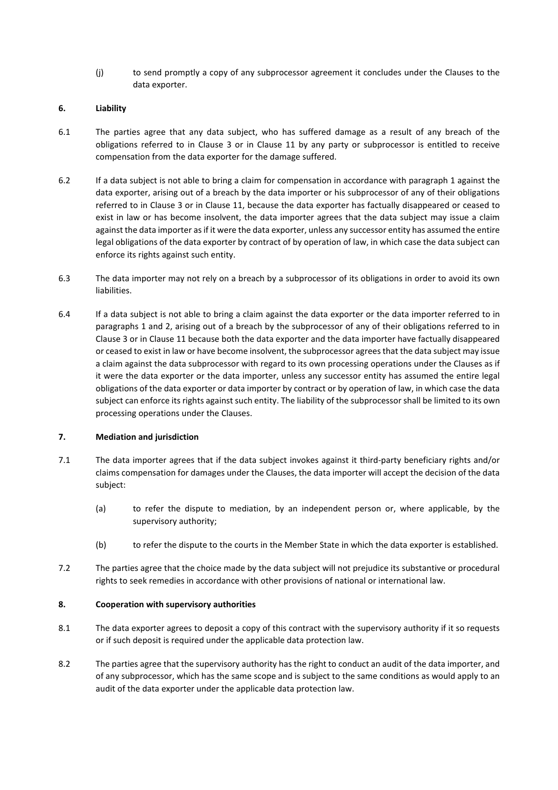(j) to send promptly a copy of any subprocessor agreement it concludes under the Clauses to the data exporter.

## **6. Liability**

- 6.1 The parties agree that any data subject, who has suffered damage as a result of any breach of the obligations referred to in Clause 3 or in Clause 11 by any party or subprocessor is entitled to receive compensation from the data exporter for the damage suffered.
- 6.2 If a data subject is not able to bring a claim for compensation in accordance with paragraph 1 against the data exporter, arising out of a breach by the data importer or his subprocessor of any of their obligations referred to in Clause 3 or in Clause 11, because the data exporter has factually disappeared or ceased to exist in law or has become insolvent, the data importer agrees that the data subject may issue a claim against the data importer as if it were the data exporter, unless any successor entity has assumed the entire legal obligations of the data exporter by contract of by operation of law, in which case the data subject can enforce its rights against such entity.
- 6.3 The data importer may not rely on a breach by a subprocessor of its obligations in order to avoid its own liabilities.
- 6.4 If a data subject is not able to bring a claim against the data exporter or the data importer referred to in paragraphs 1 and 2, arising out of a breach by the subprocessor of any of their obligations referred to in Clause 3 or in Clause 11 because both the data exporter and the data importer have factually disappeared or ceased to exist in law or have become insolvent, the subprocessor agrees that the data subject may issue a claim against the data subprocessor with regard to its own processing operations under the Clauses as if it were the data exporter or the data importer, unless any successor entity has assumed the entire legal obligations of the data exporter or data importer by contract or by operation of law, in which case the data subject can enforce its rights against such entity. The liability of the subprocessor shall be limited to its own processing operations under the Clauses.

# **7. Mediation and jurisdiction**

- 7.1 The data importer agrees that if the data subject invokes against it third-party beneficiary rights and/or claims compensation for damages under the Clauses, the data importer will accept the decision of the data subject:
	- (a) to refer the dispute to mediation, by an independent person or, where applicable, by the supervisory authority;
	- (b) to refer the dispute to the courts in the Member State in which the data exporter is established.
- 7.2 The parties agree that the choice made by the data subject will not prejudice its substantive or procedural rights to seek remedies in accordance with other provisions of national or international law.

### **8. Cooperation with supervisory authorities**

- 8.1 The data exporter agrees to deposit a copy of this contract with the supervisory authority if it so requests or if such deposit is required under the applicable data protection law.
- 8.2 The parties agree that the supervisory authority has the right to conduct an audit of the data importer, and of any subprocessor, which has the same scope and is subject to the same conditions as would apply to an audit of the data exporter under the applicable data protection law.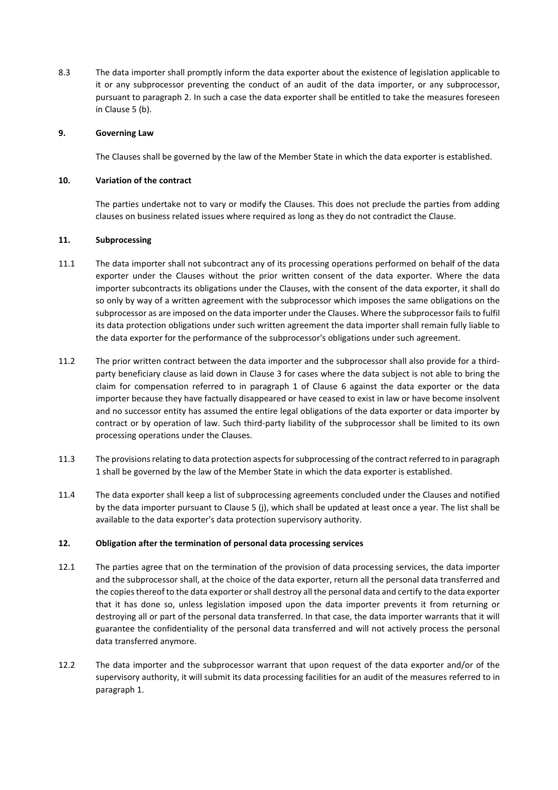8.3 The data importer shall promptly inform the data exporter about the existence of legislation applicable to it or any subprocessor preventing the conduct of an audit of the data importer, or any subprocessor, pursuant to paragraph 2. In such a case the data exporter shall be entitled to take the measures foreseen in Clause 5 (b).

### **9. Governing Law**

The Clauses shall be governed by the law of the Member State in which the data exporter is established.

### **10. Variation of the contract**

The parties undertake not to vary or modify the Clauses. This does not preclude the parties from adding clauses on business related issues where required as long as they do not contradict the Clause.

## **11. Subprocessing**

- 11.1 The data importer shall not subcontract any of its processing operations performed on behalf of the data exporter under the Clauses without the prior written consent of the data exporter. Where the data importer subcontracts its obligations under the Clauses, with the consent of the data exporter, it shall do so only by way of a written agreement with the subprocessor which imposes the same obligations on the subprocessor as are imposed on the data importer under the Clauses. Where the subprocessor fails to fulfil its data protection obligations under such written agreement the data importer shall remain fully liable to the data exporter for the performance of the subprocessor's obligations under such agreement.
- 11.2 The prior written contract between the data importer and the subprocessor shall also provide for a thirdparty beneficiary clause as laid down in Clause 3 for cases where the data subject is not able to bring the claim for compensation referred to in paragraph 1 of Clause 6 against the data exporter or the data importer because they have factually disappeared or have ceased to exist in law or have become insolvent and no successor entity has assumed the entire legal obligations of the data exporter or data importer by contract or by operation of law. Such third-party liability of the subprocessor shall be limited to its own processing operations under the Clauses.
- 11.3 The provisions relating to data protection aspects for subprocessing of the contract referred to in paragraph 1 shall be governed by the law of the Member State in which the data exporter is established.
- 11.4 The data exporter shall keep a list of subprocessing agreements concluded under the Clauses and notified by the data importer pursuant to Clause 5 (j), which shall be updated at least once a year. The list shall be available to the data exporter's data protection supervisory authority.

### **12. Obligation after the termination of personal data processing services**

- 12.1 The parties agree that on the termination of the provision of data processing services, the data importer and the subprocessor shall, at the choice of the data exporter, return all the personal data transferred and the copies thereof to the data exporter or shall destroy all the personal data and certify to the data exporter that it has done so, unless legislation imposed upon the data importer prevents it from returning or destroying all or part of the personal data transferred. In that case, the data importer warrants that it will guarantee the confidentiality of the personal data transferred and will not actively process the personal data transferred anymore.
- 12.2 The data importer and the subprocessor warrant that upon request of the data exporter and/or of the supervisory authority, it will submit its data processing facilities for an audit of the measures referred to in paragraph 1.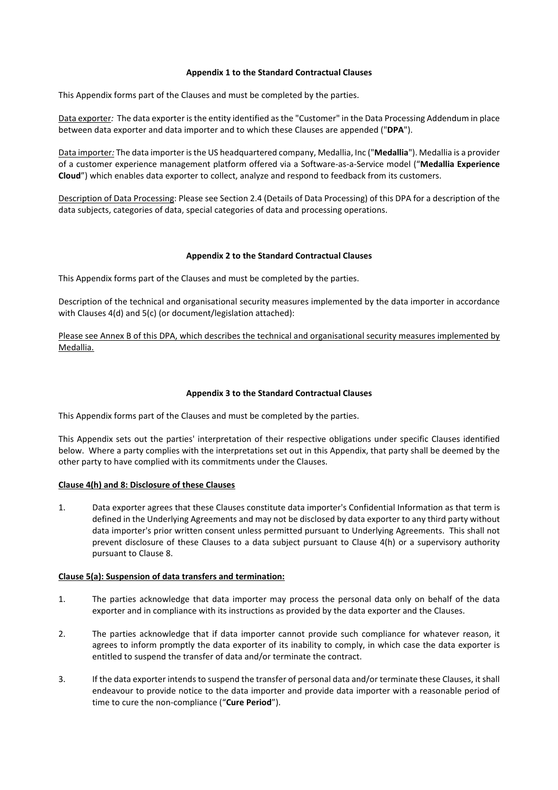#### **Appendix 1 to the Standard Contractual Clauses**

This Appendix forms part of the Clauses and must be completed by the parties.

Data exporter*:* The data exporter is the entity identified as the "Customer" in the Data Processing Addendum in place between data exporter and data importer and to which these Clauses are appended ("**DPA**").

Data importer*:* The data importer is the US headquartered company, Medallia, Inc ("**Medallia**"). Medallia is a provider of a customer experience management platform offered via a Software-as-a-Service model ("**Medallia Experience Cloud**") which enables data exporter to collect, analyze and respond to feedback from its customers.

Description of Data Processing: Please see Section 2.4 (Details of Data Processing) of this DPA for a description of the data subjects, categories of data, special categories of data and processing operations.

#### **Appendix 2 to the Standard Contractual Clauses**

This Appendix forms part of the Clauses and must be completed by the parties.

Description of the technical and organisational security measures implemented by the data importer in accordance with Clauses 4(d) and 5(c) (or document/legislation attached):

Please see Annex B of this DPA, which describes the technical and organisational security measures implemented by Medallia.

#### **Appendix 3 to the Standard Contractual Clauses**

This Appendix forms part of the Clauses and must be completed by the parties.

This Appendix sets out the parties' interpretation of their respective obligations under specific Clauses identified below. Where a party complies with the interpretations set out in this Appendix, that party shall be deemed by the other party to have complied with its commitments under the Clauses.

### **Clause 4(h) and 8: Disclosure of these Clauses**

1. Data exporter agrees that these Clauses constitute data importer's Confidential Information as that term is defined in the Underlying Agreements and may not be disclosed by data exporter to any third party without data importer's prior written consent unless permitted pursuant to Underlying Agreements. This shall not prevent disclosure of these Clauses to a data subject pursuant to Clause 4(h) or a supervisory authority pursuant to Clause 8.

#### **Clause 5(a): Suspension of data transfers and termination:**

- 1. The parties acknowledge that data importer may process the personal data only on behalf of the data exporter and in compliance with its instructions as provided by the data exporter and the Clauses.
- 2. The parties acknowledge that if data importer cannot provide such compliance for whatever reason, it agrees to inform promptly the data exporter of its inability to comply, in which case the data exporter is entitled to suspend the transfer of data and/or terminate the contract.
- 3. If the data exporter intends to suspend the transfer of personal data and/or terminate these Clauses, it shall endeavour to provide notice to the data importer and provide data importer with a reasonable period of time to cure the non-compliance ("**Cure Period**").